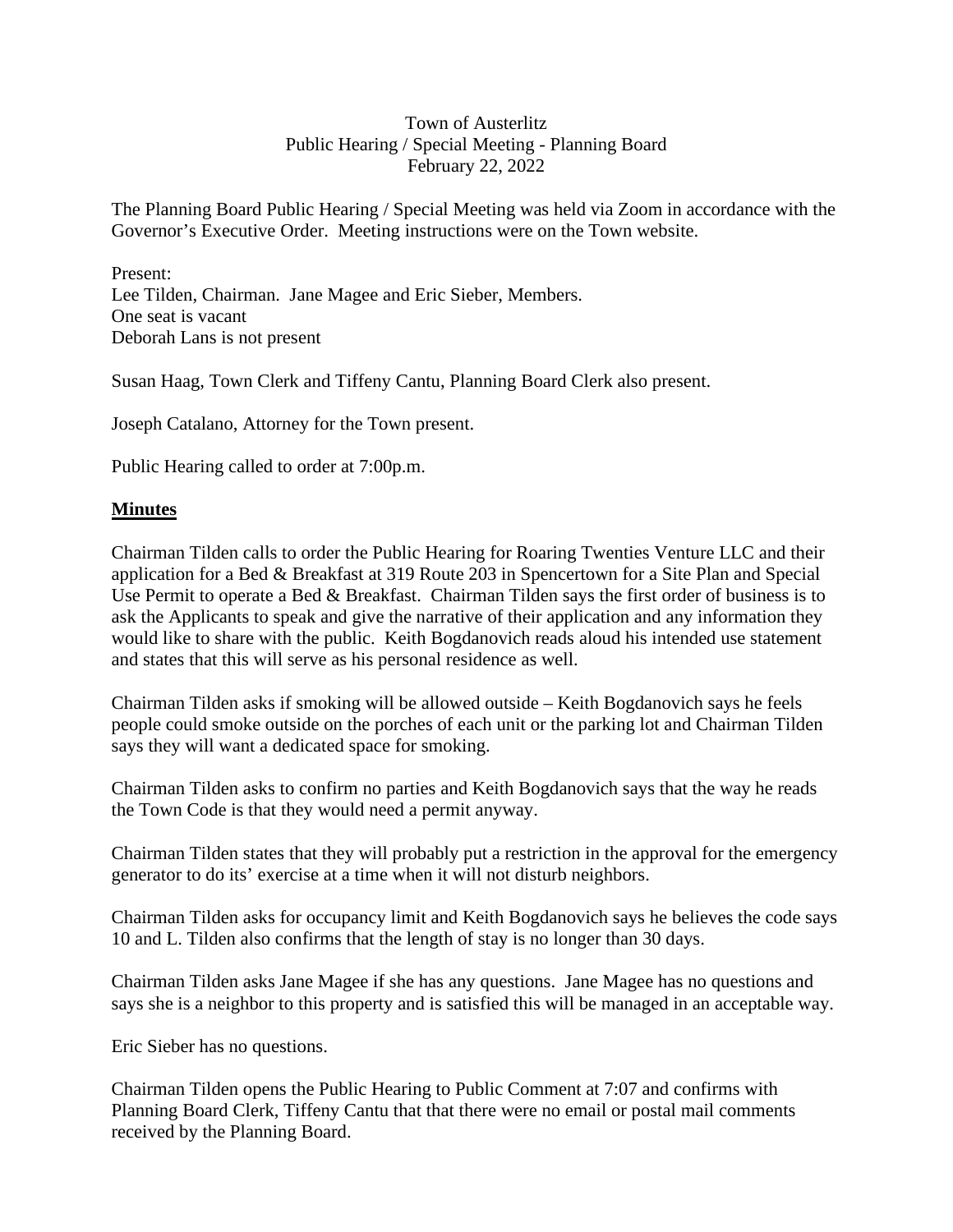# Town of Austerlitz Public Hearing / Special Meeting - Planning Board February 22, 2022

The Planning Board Public Hearing / Special Meeting was held via Zoom in accordance with the Governor's Executive Order. Meeting instructions were on the Town website.

Present: Lee Tilden, Chairman. Jane Magee and Eric Sieber, Members. One seat is vacant Deborah Lans is not present

Susan Haag, Town Clerk and Tiffeny Cantu, Planning Board Clerk also present.

Joseph Catalano, Attorney for the Town present.

Public Hearing called to order at 7:00p.m.

### **Minutes**

Chairman Tilden calls to order the Public Hearing for Roaring Twenties Venture LLC and their application for a Bed & Breakfast at 319 Route 203 in Spencertown for a Site Plan and Special Use Permit to operate a Bed & Breakfast. Chairman Tilden says the first order of business is to ask the Applicants to speak and give the narrative of their application and any information they would like to share with the public. Keith Bogdanovich reads aloud his intended use statement and states that this will serve as his personal residence as well.

Chairman Tilden asks if smoking will be allowed outside – Keith Bogdanovich says he feels people could smoke outside on the porches of each unit or the parking lot and Chairman Tilden says they will want a dedicated space for smoking.

Chairman Tilden asks to confirm no parties and Keith Bogdanovich says that the way he reads the Town Code is that they would need a permit anyway.

Chairman Tilden states that they will probably put a restriction in the approval for the emergency generator to do its' exercise at a time when it will not disturb neighbors.

Chairman Tilden asks for occupancy limit and Keith Bogdanovich says he believes the code says 10 and L. Tilden also confirms that the length of stay is no longer than 30 days.

Chairman Tilden asks Jane Magee if she has any questions. Jane Magee has no questions and says she is a neighbor to this property and is satisfied this will be managed in an acceptable way.

Eric Sieber has no questions.

Chairman Tilden opens the Public Hearing to Public Comment at 7:07 and confirms with Planning Board Clerk, Tiffeny Cantu that that there were no email or postal mail comments received by the Planning Board.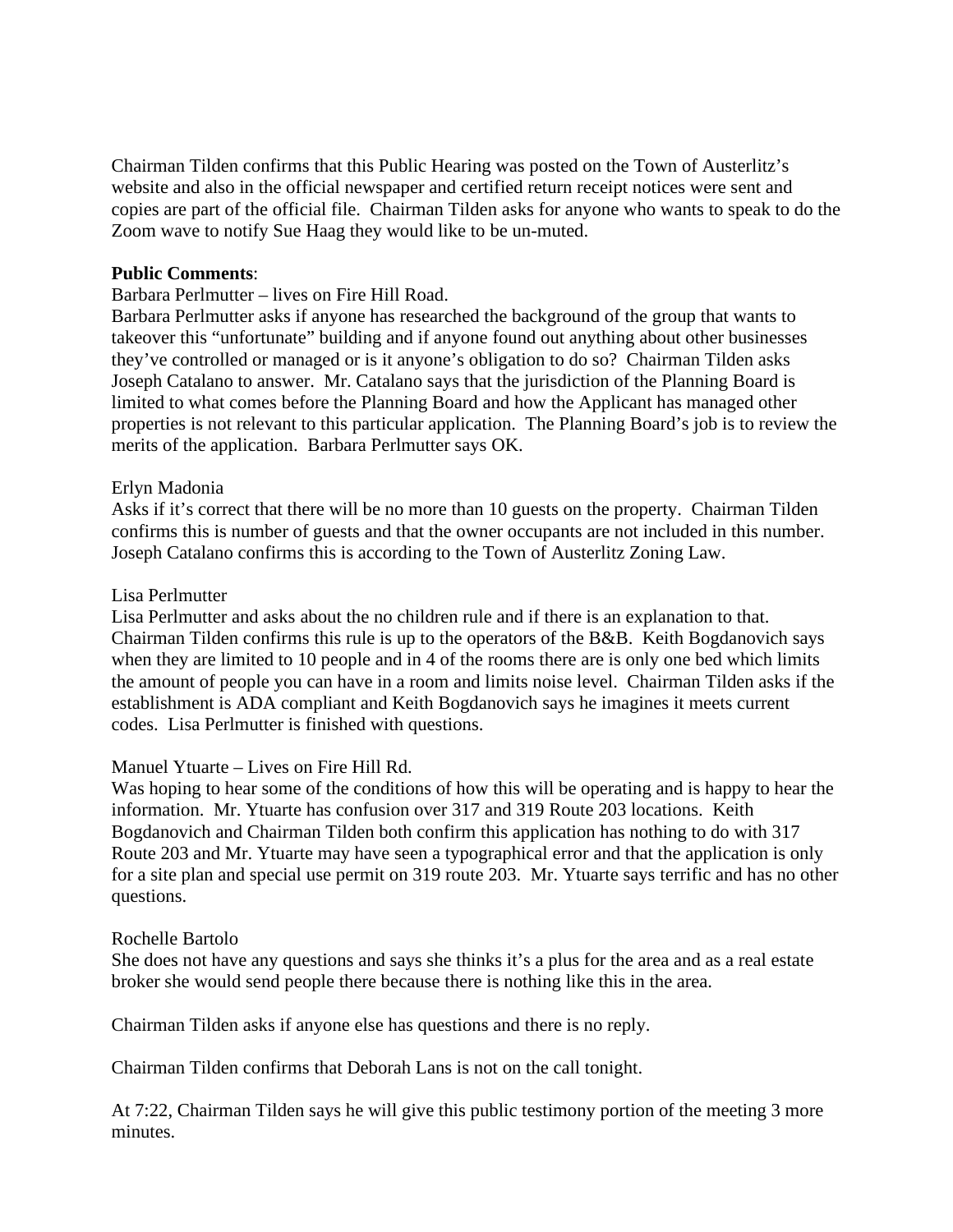Chairman Tilden confirms that this Public Hearing was posted on the Town of Austerlitz's website and also in the official newspaper and certified return receipt notices were sent and copies are part of the official file. Chairman Tilden asks for anyone who wants to speak to do the Zoom wave to notify Sue Haag they would like to be un-muted.

### **Public Comments**:

Barbara Perlmutter – lives on Fire Hill Road.

Barbara Perlmutter asks if anyone has researched the background of the group that wants to takeover this "unfortunate" building and if anyone found out anything about other businesses they've controlled or managed or is it anyone's obligation to do so? Chairman Tilden asks Joseph Catalano to answer. Mr. Catalano says that the jurisdiction of the Planning Board is limited to what comes before the Planning Board and how the Applicant has managed other properties is not relevant to this particular application. The Planning Board's job is to review the merits of the application. Barbara Perlmutter says OK.

### Erlyn Madonia

Asks if it's correct that there will be no more than 10 guests on the property. Chairman Tilden confirms this is number of guests and that the owner occupants are not included in this number. Joseph Catalano confirms this is according to the Town of Austerlitz Zoning Law.

### Lisa Perlmutter

Lisa Perlmutter and asks about the no children rule and if there is an explanation to that. Chairman Tilden confirms this rule is up to the operators of the B&B. Keith Bogdanovich says when they are limited to 10 people and in 4 of the rooms there are is only one bed which limits the amount of people you can have in a room and limits noise level. Chairman Tilden asks if the establishment is ADA compliant and Keith Bogdanovich says he imagines it meets current codes. Lisa Perlmutter is finished with questions.

Manuel Ytuarte – Lives on Fire Hill Rd.

Was hoping to hear some of the conditions of how this will be operating and is happy to hear the information. Mr. Ytuarte has confusion over 317 and 319 Route 203 locations. Keith Bogdanovich and Chairman Tilden both confirm this application has nothing to do with 317 Route 203 and Mr. Ytuarte may have seen a typographical error and that the application is only for a site plan and special use permit on 319 route 203. Mr. Ytuarte says terrific and has no other questions.

#### Rochelle Bartolo

She does not have any questions and says she thinks it's a plus for the area and as a real estate broker she would send people there because there is nothing like this in the area.

Chairman Tilden asks if anyone else has questions and there is no reply.

Chairman Tilden confirms that Deborah Lans is not on the call tonight.

At 7:22, Chairman Tilden says he will give this public testimony portion of the meeting 3 more minutes.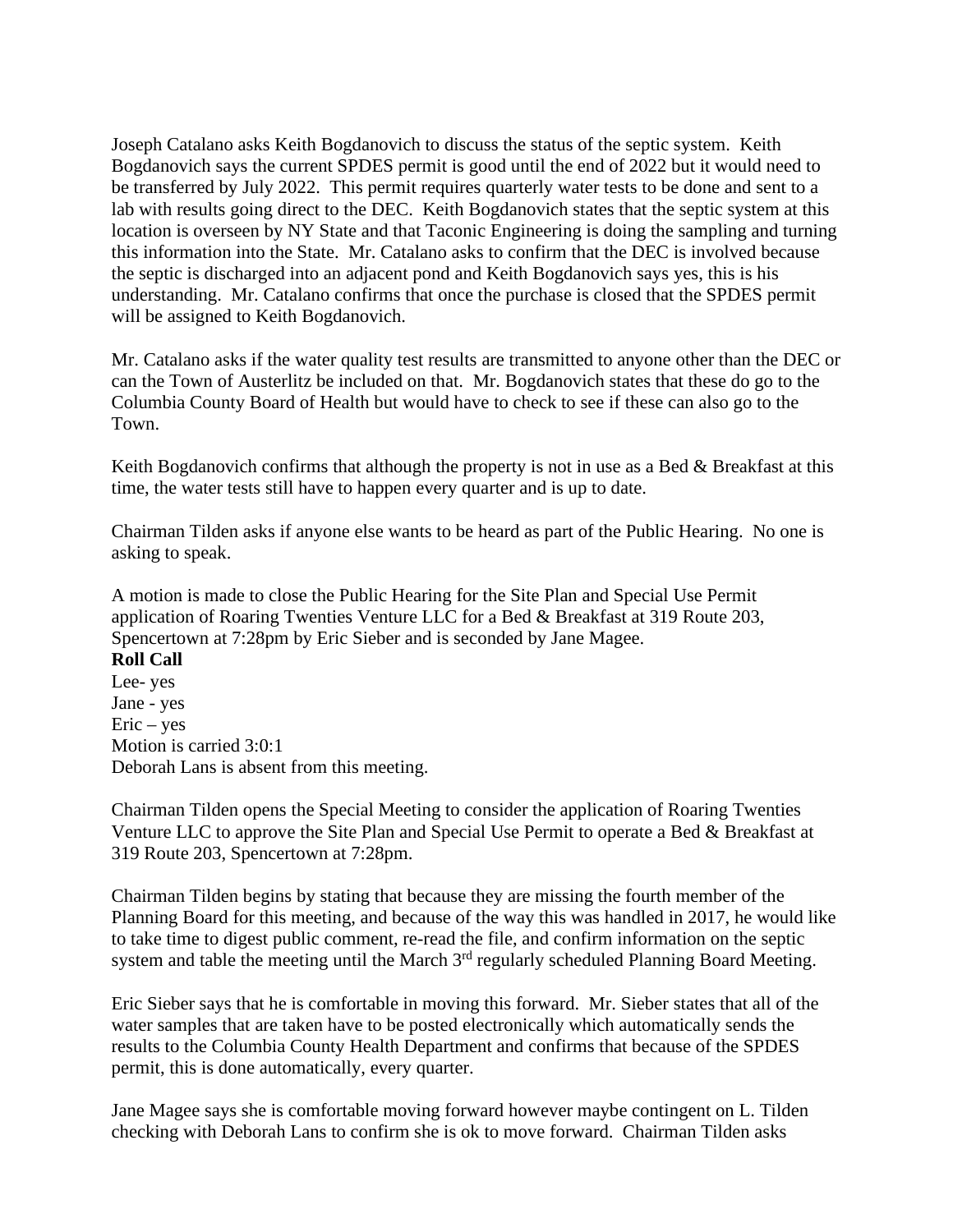Joseph Catalano asks Keith Bogdanovich to discuss the status of the septic system. Keith Bogdanovich says the current SPDES permit is good until the end of 2022 but it would need to be transferred by July 2022. This permit requires quarterly water tests to be done and sent to a lab with results going direct to the DEC. Keith Bogdanovich states that the septic system at this location is overseen by NY State and that Taconic Engineering is doing the sampling and turning this information into the State. Mr. Catalano asks to confirm that the DEC is involved because the septic is discharged into an adjacent pond and Keith Bogdanovich says yes, this is his understanding. Mr. Catalano confirms that once the purchase is closed that the SPDES permit will be assigned to Keith Bogdanovich.

Mr. Catalano asks if the water quality test results are transmitted to anyone other than the DEC or can the Town of Austerlitz be included on that. Mr. Bogdanovich states that these do go to the Columbia County Board of Health but would have to check to see if these can also go to the Town.

Keith Bogdanovich confirms that although the property is not in use as a Bed  $\&$  Breakfast at this time, the water tests still have to happen every quarter and is up to date.

Chairman Tilden asks if anyone else wants to be heard as part of the Public Hearing. No one is asking to speak.

A motion is made to close the Public Hearing for the Site Plan and Special Use Permit application of Roaring Twenties Venture LLC for a Bed & Breakfast at 319 Route 203, Spencertown at 7:28pm by Eric Sieber and is seconded by Jane Magee.

**Roll Call**  Lee- yes Jane - yes  $Eric - yes$ Motion is carried 3:0:1 Deborah Lans is absent from this meeting.

Chairman Tilden opens the Special Meeting to consider the application of Roaring Twenties Venture LLC to approve the Site Plan and Special Use Permit to operate a Bed & Breakfast at 319 Route 203, Spencertown at 7:28pm.

Chairman Tilden begins by stating that because they are missing the fourth member of the Planning Board for this meeting, and because of the way this was handled in 2017, he would like to take time to digest public comment, re-read the file, and confirm information on the septic system and table the meeting until the March  $3<sup>rd</sup>$  regularly scheduled Planning Board Meeting.

Eric Sieber says that he is comfortable in moving this forward. Mr. Sieber states that all of the water samples that are taken have to be posted electronically which automatically sends the results to the Columbia County Health Department and confirms that because of the SPDES permit, this is done automatically, every quarter.

Jane Magee says she is comfortable moving forward however maybe contingent on L. Tilden checking with Deborah Lans to confirm she is ok to move forward. Chairman Tilden asks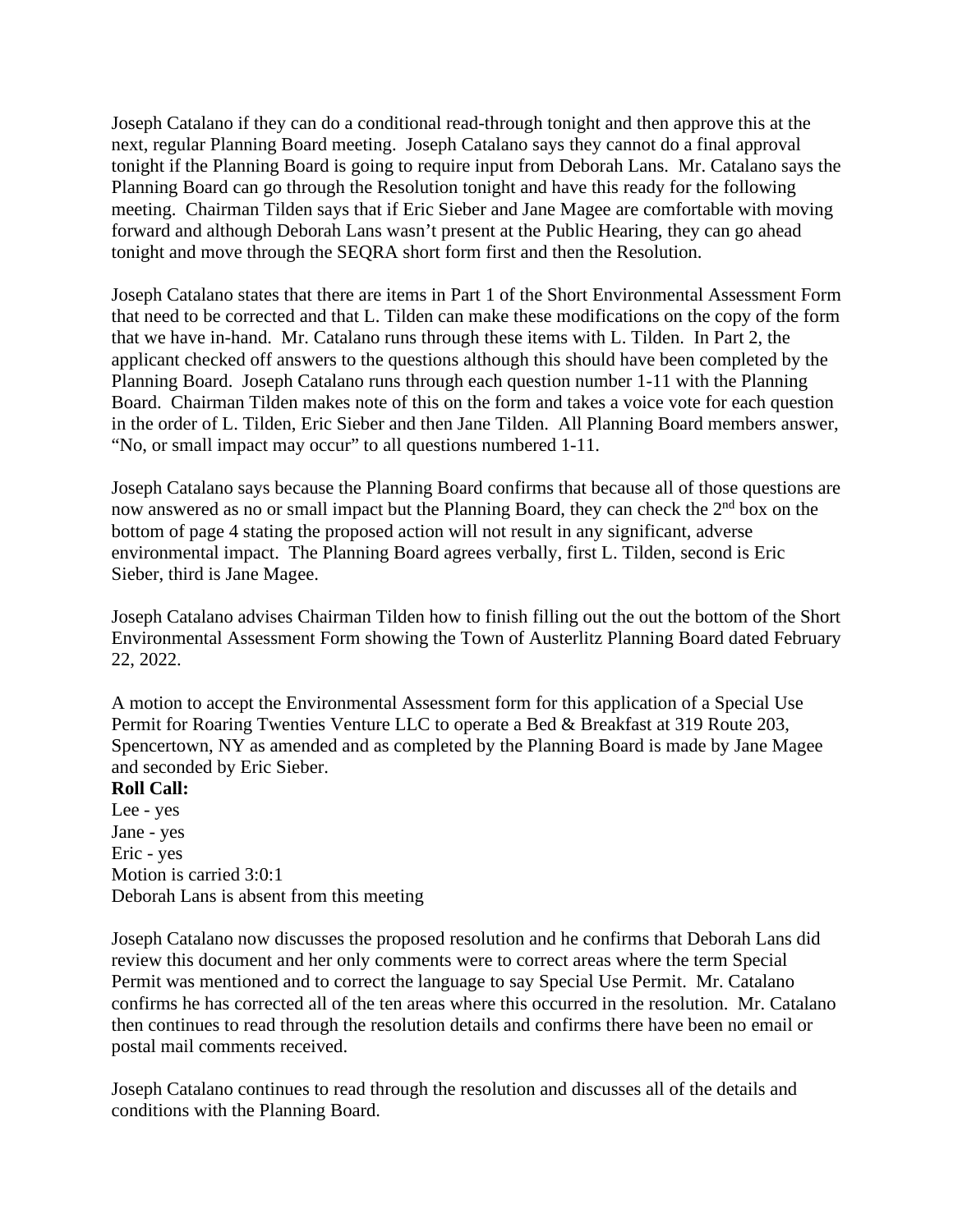Joseph Catalano if they can do a conditional read-through tonight and then approve this at the next, regular Planning Board meeting. Joseph Catalano says they cannot do a final approval tonight if the Planning Board is going to require input from Deborah Lans. Mr. Catalano says the Planning Board can go through the Resolution tonight and have this ready for the following meeting. Chairman Tilden says that if Eric Sieber and Jane Magee are comfortable with moving forward and although Deborah Lans wasn't present at the Public Hearing, they can go ahead tonight and move through the SEQRA short form first and then the Resolution.

Joseph Catalano states that there are items in Part 1 of the Short Environmental Assessment Form that need to be corrected and that L. Tilden can make these modifications on the copy of the form that we have in-hand. Mr. Catalano runs through these items with L. Tilden. In Part 2, the applicant checked off answers to the questions although this should have been completed by the Planning Board. Joseph Catalano runs through each question number 1-11 with the Planning Board. Chairman Tilden makes note of this on the form and takes a voice vote for each question in the order of L. Tilden, Eric Sieber and then Jane Tilden. All Planning Board members answer, "No, or small impact may occur" to all questions numbered 1-11.

Joseph Catalano says because the Planning Board confirms that because all of those questions are now answered as no or small impact but the Planning Board, they can check the 2<sup>nd</sup> box on the bottom of page 4 stating the proposed action will not result in any significant, adverse environmental impact. The Planning Board agrees verbally, first L. Tilden, second is Eric Sieber, third is Jane Magee.

Joseph Catalano advises Chairman Tilden how to finish filling out the out the bottom of the Short Environmental Assessment Form showing the Town of Austerlitz Planning Board dated February 22, 2022.

A motion to accept the Environmental Assessment form for this application of a Special Use Permit for Roaring Twenties Venture LLC to operate a Bed & Breakfast at 319 Route 203, Spencertown, NY as amended and as completed by the Planning Board is made by Jane Magee and seconded by Eric Sieber.

#### **Roll Call:**

Lee - yes Jane - yes Eric - yes Motion is carried 3:0:1 Deborah Lans is absent from this meeting

Joseph Catalano now discusses the proposed resolution and he confirms that Deborah Lans did review this document and her only comments were to correct areas where the term Special Permit was mentioned and to correct the language to say Special Use Permit. Mr. Catalano confirms he has corrected all of the ten areas where this occurred in the resolution. Mr. Catalano then continues to read through the resolution details and confirms there have been no email or postal mail comments received.

Joseph Catalano continues to read through the resolution and discusses all of the details and conditions with the Planning Board.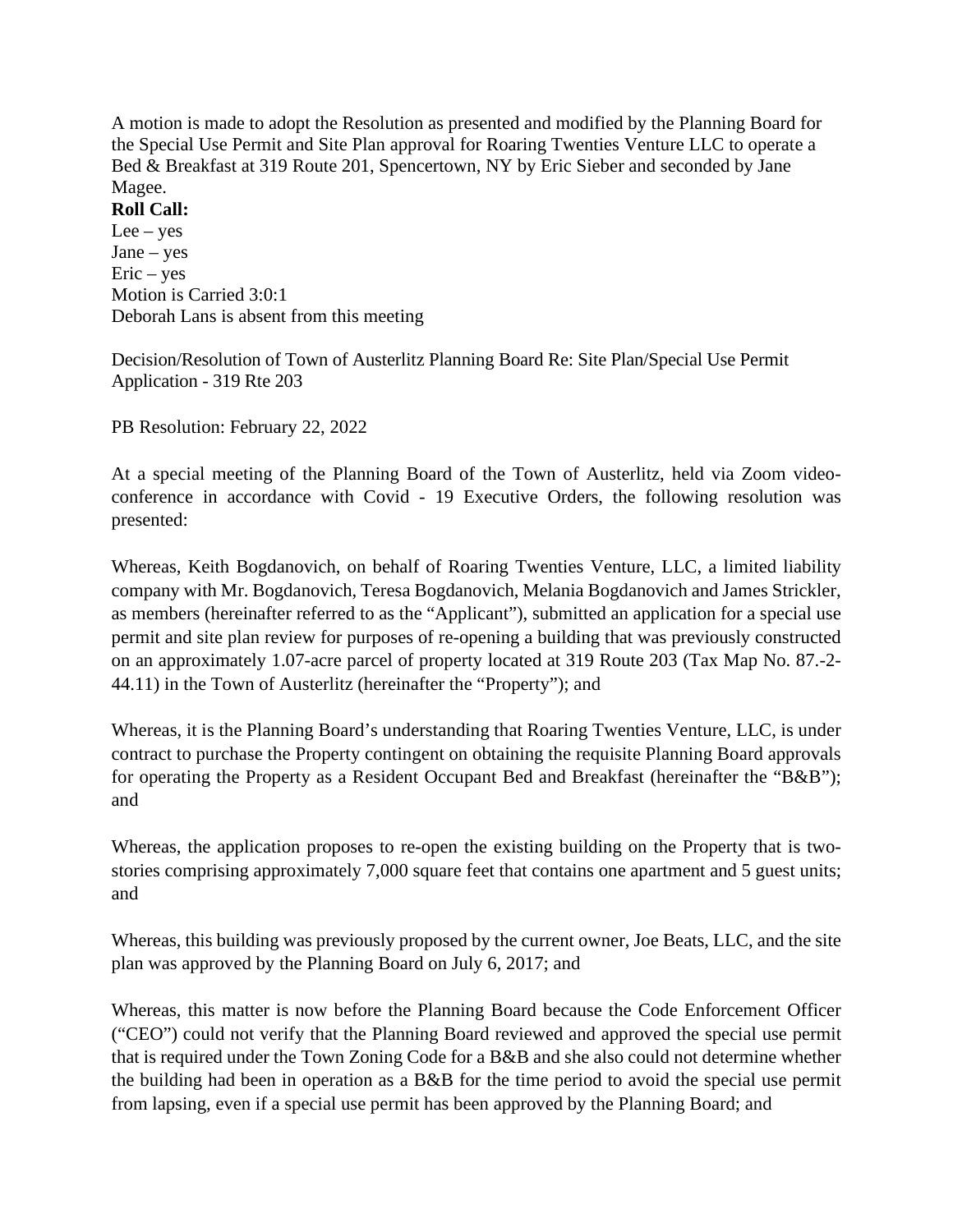A motion is made to adopt the Resolution as presented and modified by the Planning Board for the Special Use Permit and Site Plan approval for Roaring Twenties Venture LLC to operate a Bed & Breakfast at 319 Route 201, Spencertown, NY by Eric Sieber and seconded by Jane Magee.

## **Roll Call:**

 $Lee - yes$ Jane – yes  $Eric - yes$ Motion is Carried 3:0:1 Deborah Lans is absent from this meeting

Decision/Resolution of Town of Austerlitz Planning Board Re: Site Plan/Special Use Permit Application - 319 Rte 203

PB Resolution: February 22, 2022

At a special meeting of the Planning Board of the Town of Austerlitz, held via Zoom videoconference in accordance with Covid - 19 Executive Orders, the following resolution was presented:

Whereas, Keith Bogdanovich, on behalf of Roaring Twenties Venture, LLC, a limited liability company with Mr. Bogdanovich, Teresa Bogdanovich, Melania Bogdanovich and James Strickler, as members (hereinafter referred to as the "Applicant"), submitted an application for a special use permit and site plan review for purposes of re-opening a building that was previously constructed on an approximately 1.07-acre parcel of property located at 319 Route 203 (Tax Map No. 87.-2- 44.11) in the Town of Austerlitz (hereinafter the "Property"); and

Whereas, it is the Planning Board's understanding that Roaring Twenties Venture, LLC, is under contract to purchase the Property contingent on obtaining the requisite Planning Board approvals for operating the Property as a Resident Occupant Bed and Breakfast (hereinafter the "B&B"); and

Whereas, the application proposes to re-open the existing building on the Property that is twostories comprising approximately 7,000 square feet that contains one apartment and 5 guest units; and

Whereas, this building was previously proposed by the current owner, Joe Beats, LLC, and the site plan was approved by the Planning Board on July 6, 2017; and

Whereas, this matter is now before the Planning Board because the Code Enforcement Officer ("CEO") could not verify that the Planning Board reviewed and approved the special use permit that is required under the Town Zoning Code for a B&B and she also could not determine whether the building had been in operation as a B&B for the time period to avoid the special use permit from lapsing, even if a special use permit has been approved by the Planning Board; and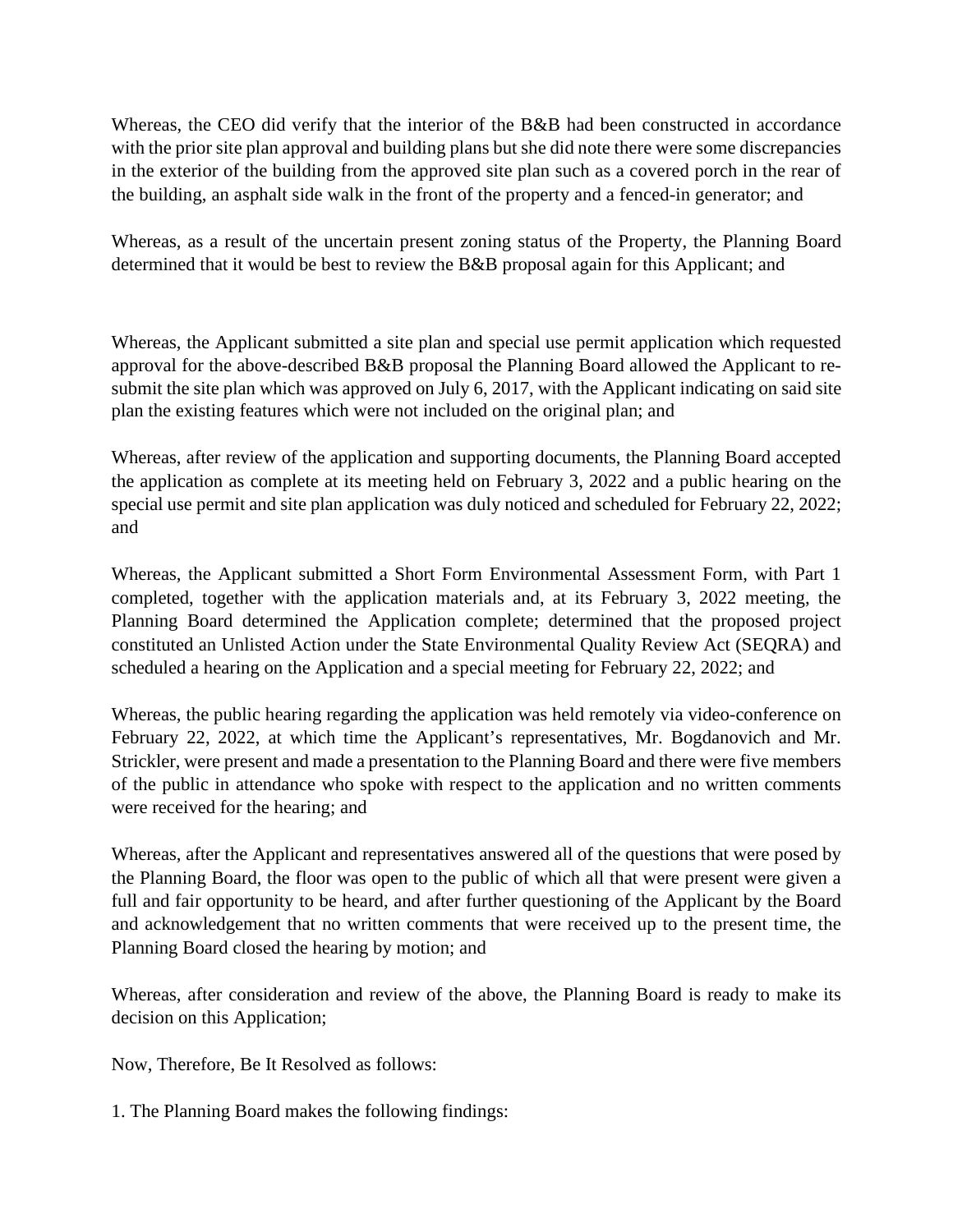Whereas, the CEO did verify that the interior of the B&B had been constructed in accordance with the prior site plan approval and building plans but she did note there were some discrepancies in the exterior of the building from the approved site plan such as a covered porch in the rear of the building, an asphalt side walk in the front of the property and a fenced-in generator; and

Whereas, as a result of the uncertain present zoning status of the Property, the Planning Board determined that it would be best to review the B&B proposal again for this Applicant; and

Whereas, the Applicant submitted a site plan and special use permit application which requested approval for the above-described B&B proposal the Planning Board allowed the Applicant to resubmit the site plan which was approved on July 6, 2017, with the Applicant indicating on said site plan the existing features which were not included on the original plan; and

Whereas, after review of the application and supporting documents, the Planning Board accepted the application as complete at its meeting held on February 3, 2022 and a public hearing on the special use permit and site plan application was duly noticed and scheduled for February 22, 2022; and

Whereas, the Applicant submitted a Short Form Environmental Assessment Form, with Part 1 completed, together with the application materials and, at its February 3, 2022 meeting, the Planning Board determined the Application complete; determined that the proposed project constituted an Unlisted Action under the State Environmental Quality Review Act (SEQRA) and scheduled a hearing on the Application and a special meeting for February 22, 2022; and

Whereas, the public hearing regarding the application was held remotely via video-conference on February 22, 2022, at which time the Applicant's representatives, Mr. Bogdanovich and Mr. Strickler, were present and made a presentation to the Planning Board and there were five members of the public in attendance who spoke with respect to the application and no written comments were received for the hearing; and

Whereas, after the Applicant and representatives answered all of the questions that were posed by the Planning Board, the floor was open to the public of which all that were present were given a full and fair opportunity to be heard, and after further questioning of the Applicant by the Board and acknowledgement that no written comments that were received up to the present time, the Planning Board closed the hearing by motion; and

Whereas, after consideration and review of the above, the Planning Board is ready to make its decision on this Application;

Now, Therefore, Be It Resolved as follows:

1. The Planning Board makes the following findings: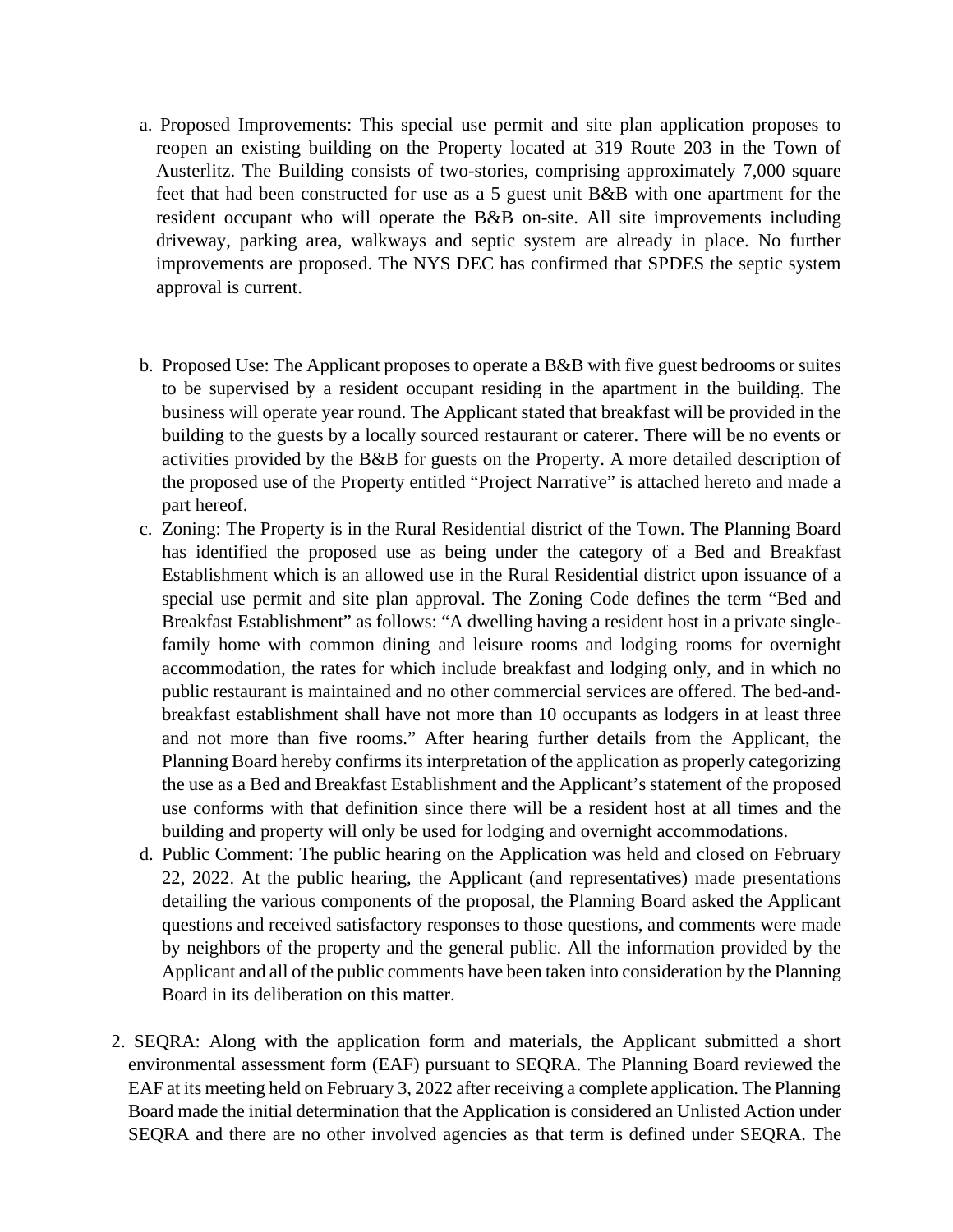- a. Proposed Improvements: This special use permit and site plan application proposes to reopen an existing building on the Property located at 319 Route 203 in the Town of Austerlitz. The Building consists of two-stories, comprising approximately 7,000 square feet that had been constructed for use as a 5 guest unit B&B with one apartment for the resident occupant who will operate the B&B on-site. All site improvements including driveway, parking area, walkways and septic system are already in place. No further improvements are proposed. The NYS DEC has confirmed that SPDES the septic system approval is current.
- b. Proposed Use: The Applicant proposes to operate a B&B with five guest bedrooms or suites to be supervised by a resident occupant residing in the apartment in the building. The business will operate year round. The Applicant stated that breakfast will be provided in the building to the guests by a locally sourced restaurant or caterer. There will be no events or activities provided by the B&B for guests on the Property. A more detailed description of the proposed use of the Property entitled "Project Narrative" is attached hereto and made a part hereof.
- c. Zoning: The Property is in the Rural Residential district of the Town. The Planning Board has identified the proposed use as being under the category of a Bed and Breakfast Establishment which is an allowed use in the Rural Residential district upon issuance of a special use permit and site plan approval. The Zoning Code defines the term "Bed and Breakfast Establishment" as follows: "A dwelling having a resident host in a private singlefamily home with common dining and leisure rooms and lodging rooms for overnight accommodation, the rates for which include breakfast and lodging only, and in which no public restaurant is maintained and no other commercial services are offered. The bed-andbreakfast establishment shall have not more than 10 occupants as lodgers in at least three and not more than five rooms." After hearing further details from the Applicant, the Planning Board hereby confirms its interpretation of the application as properly categorizing the use as a Bed and Breakfast Establishment and the Applicant's statement of the proposed use conforms with that definition since there will be a resident host at all times and the building and property will only be used for lodging and overnight accommodations.
- d. Public Comment: The public hearing on the Application was held and closed on February 22, 2022. At the public hearing, the Applicant (and representatives) made presentations detailing the various components of the proposal, the Planning Board asked the Applicant questions and received satisfactory responses to those questions, and comments were made by neighbors of the property and the general public. All the information provided by the Applicant and all of the public comments have been taken into consideration by the Planning Board in its deliberation on this matter.
- 2. SEQRA: Along with the application form and materials, the Applicant submitted a short environmental assessment form (EAF) pursuant to SEQRA. The Planning Board reviewed the EAF at its meeting held on February 3, 2022 after receiving a complete application. The Planning Board made the initial determination that the Application is considered an Unlisted Action under SEQRA and there are no other involved agencies as that term is defined under SEQRA. The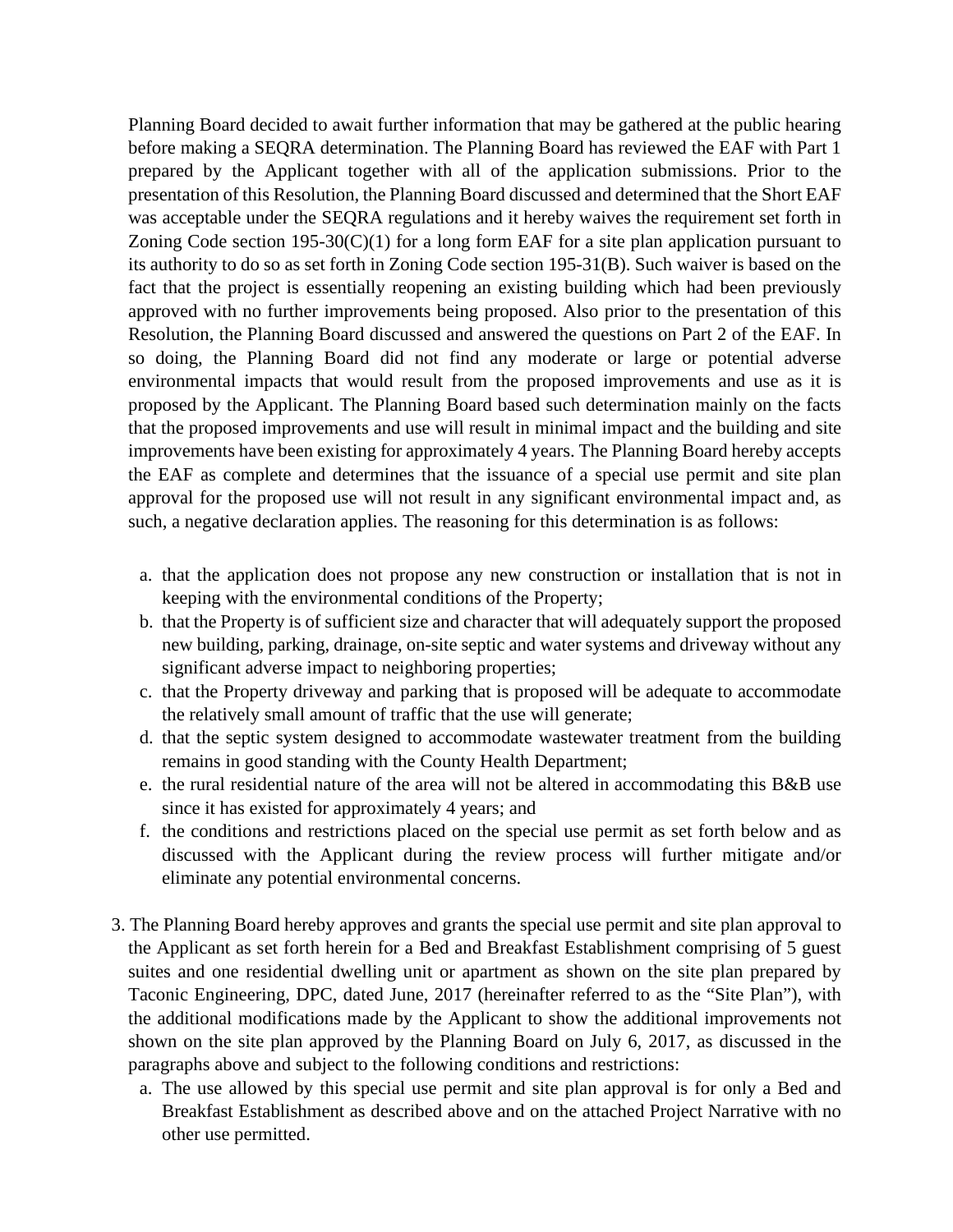Planning Board decided to await further information that may be gathered at the public hearing before making a SEQRA determination. The Planning Board has reviewed the EAF with Part 1 prepared by the Applicant together with all of the application submissions. Prior to the presentation of this Resolution, the Planning Board discussed and determined that the Short EAF was acceptable under the SEQRA regulations and it hereby waives the requirement set forth in Zoning Code section 195-30(C)(1) for a long form EAF for a site plan application pursuant to its authority to do so as set forth in Zoning Code section 195-31(B). Such waiver is based on the fact that the project is essentially reopening an existing building which had been previously approved with no further improvements being proposed. Also prior to the presentation of this Resolution, the Planning Board discussed and answered the questions on Part 2 of the EAF. In so doing, the Planning Board did not find any moderate or large or potential adverse environmental impacts that would result from the proposed improvements and use as it is proposed by the Applicant. The Planning Board based such determination mainly on the facts that the proposed improvements and use will result in minimal impact and the building and site improvements have been existing for approximately 4 years. The Planning Board hereby accepts the EAF as complete and determines that the issuance of a special use permit and site plan approval for the proposed use will not result in any significant environmental impact and, as such, a negative declaration applies. The reasoning for this determination is as follows:

- a. that the application does not propose any new construction or installation that is not in keeping with the environmental conditions of the Property;
- b. that the Property is of sufficient size and character that will adequately support the proposed new building, parking, drainage, on-site septic and water systems and driveway without any significant adverse impact to neighboring properties;
- c. that the Property driveway and parking that is proposed will be adequate to accommodate the relatively small amount of traffic that the use will generate;
- d. that the septic system designed to accommodate wastewater treatment from the building remains in good standing with the County Health Department;
- e. the rural residential nature of the area will not be altered in accommodating this B&B use since it has existed for approximately 4 years; and
- f. the conditions and restrictions placed on the special use permit as set forth below and as discussed with the Applicant during the review process will further mitigate and/or eliminate any potential environmental concerns.
- 3. The Planning Board hereby approves and grants the special use permit and site plan approval to the Applicant as set forth herein for a Bed and Breakfast Establishment comprising of 5 guest suites and one residential dwelling unit or apartment as shown on the site plan prepared by Taconic Engineering, DPC, dated June, 2017 (hereinafter referred to as the "Site Plan"), with the additional modifications made by the Applicant to show the additional improvements not shown on the site plan approved by the Planning Board on July 6, 2017, as discussed in the paragraphs above and subject to the following conditions and restrictions:
	- a. The use allowed by this special use permit and site plan approval is for only a Bed and Breakfast Establishment as described above and on the attached Project Narrative with no other use permitted.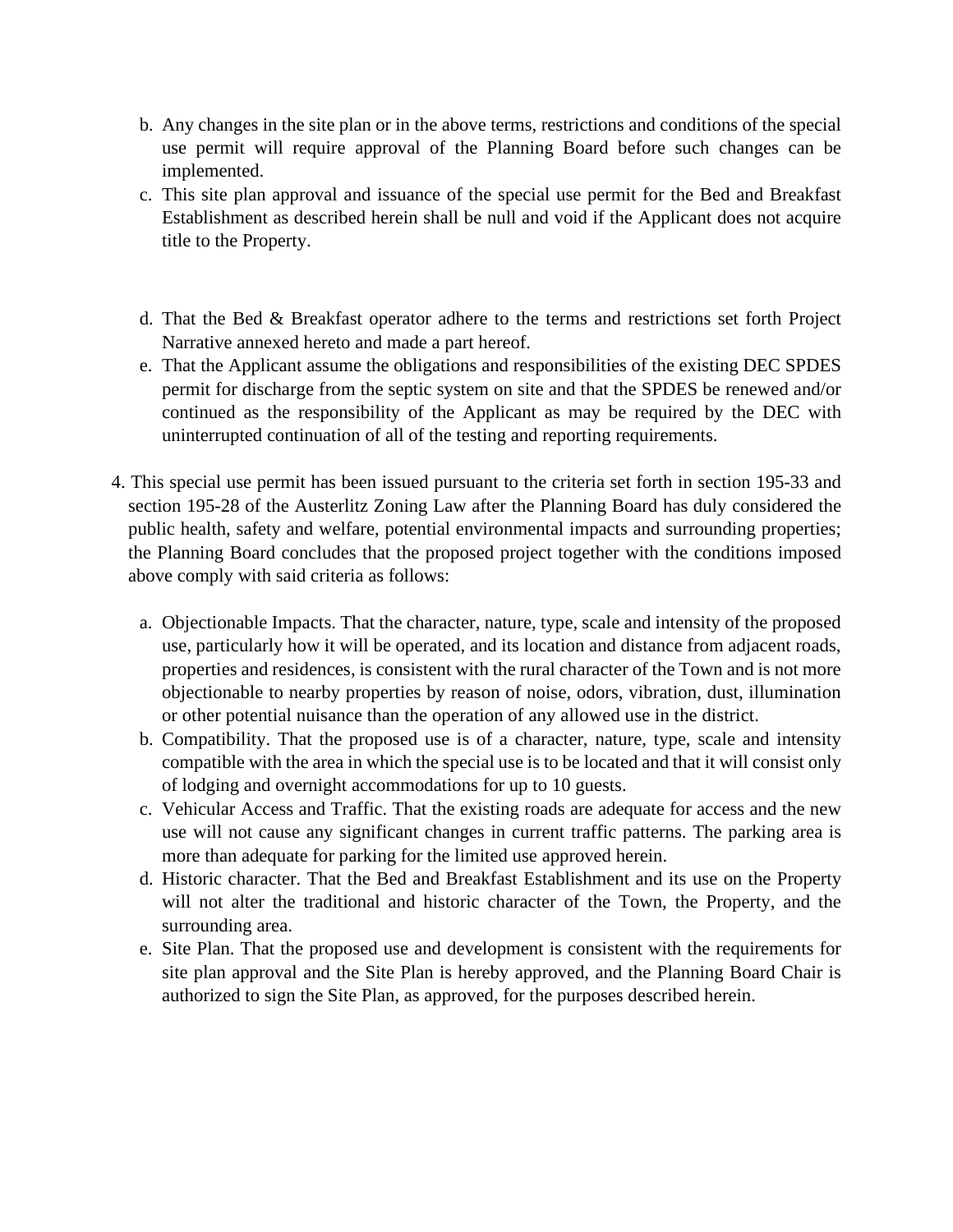- b. Any changes in the site plan or in the above terms, restrictions and conditions of the special use permit will require approval of the Planning Board before such changes can be implemented.
- c. This site plan approval and issuance of the special use permit for the Bed and Breakfast Establishment as described herein shall be null and void if the Applicant does not acquire title to the Property.
- d. That the Bed & Breakfast operator adhere to the terms and restrictions set forth Project Narrative annexed hereto and made a part hereof.
- e. That the Applicant assume the obligations and responsibilities of the existing DEC SPDES permit for discharge from the septic system on site and that the SPDES be renewed and/or continued as the responsibility of the Applicant as may be required by the DEC with uninterrupted continuation of all of the testing and reporting requirements.
- 4. This special use permit has been issued pursuant to the criteria set forth in section 195-33 and section 195-28 of the Austerlitz Zoning Law after the Planning Board has duly considered the public health, safety and welfare, potential environmental impacts and surrounding properties; the Planning Board concludes that the proposed project together with the conditions imposed above comply with said criteria as follows:
	- a. Objectionable Impacts. That the character, nature, type, scale and intensity of the proposed use, particularly how it will be operated, and its location and distance from adjacent roads, properties and residences, is consistent with the rural character of the Town and is not more objectionable to nearby properties by reason of noise, odors, vibration, dust, illumination or other potential nuisance than the operation of any allowed use in the district.
	- b. Compatibility. That the proposed use is of a character, nature, type, scale and intensity compatible with the area in which the special use is to be located and that it will consist only of lodging and overnight accommodations for up to 10 guests.
	- c. Vehicular Access and Traffic. That the existing roads are adequate for access and the new use will not cause any significant changes in current traffic patterns. The parking area is more than adequate for parking for the limited use approved herein.
	- d. Historic character. That the Bed and Breakfast Establishment and its use on the Property will not alter the traditional and historic character of the Town, the Property, and the surrounding area.
	- e. Site Plan. That the proposed use and development is consistent with the requirements for site plan approval and the Site Plan is hereby approved, and the Planning Board Chair is authorized to sign the Site Plan, as approved, for the purposes described herein.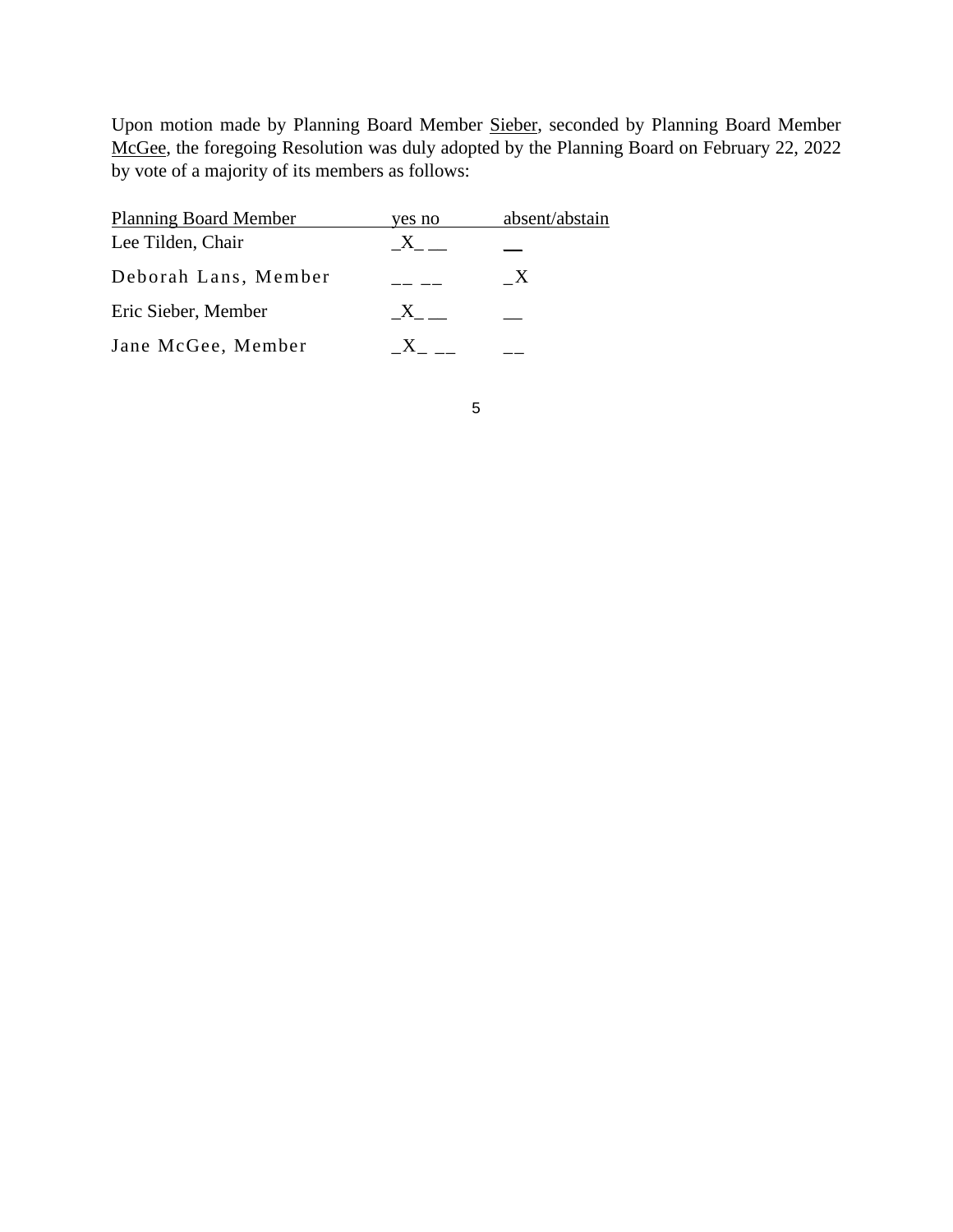Upon motion made by Planning Board Member Sieber, seconded by Planning Board Member McGee, the foregoing Resolution was duly adopted by the Planning Board on February 22, 2022 by vote of a majority of its members as follows:

| <b>Planning Board Member</b> | yes no       | absent/abstain |
|------------------------------|--------------|----------------|
| Lee Tilden, Chair            |              |                |
| Deborah Lans, Member         |              | $\mathbf{X}$   |
| Eric Sieber, Member          | $\mathbf{X}$ |                |
| Jane McGee, Member           |              |                |

5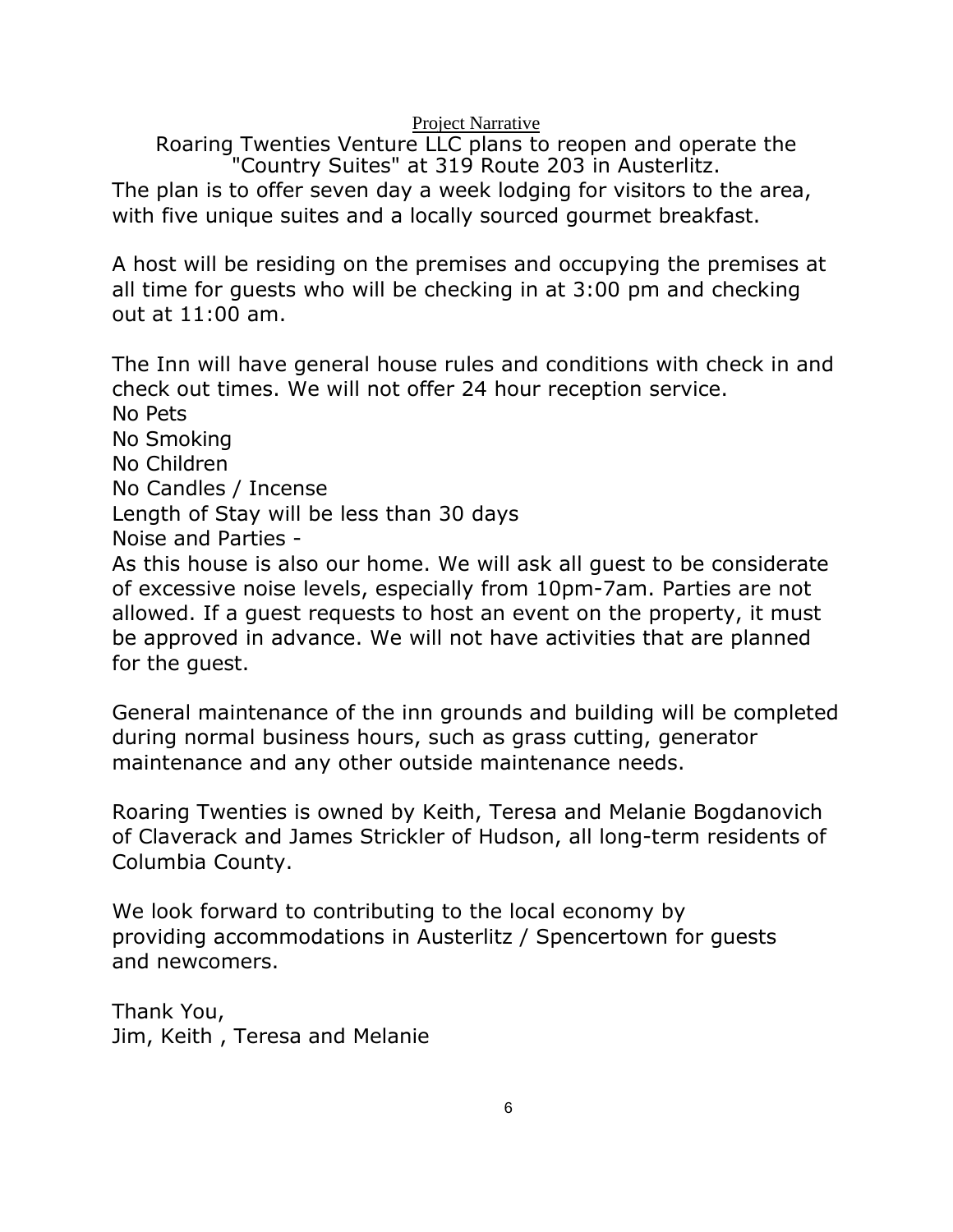Project Narrative

Roaring Twenties Venture LLC plans to reopen and operate the "Country Suites" at 319 Route 203 in Austerlitz. The plan is to offer seven day a week lodging for visitors to the area, with five unique suites and a locally sourced gourmet breakfast.

A host will be residing on the premises and occupying the premises at all time for guests who will be checking in at 3:00 pm and checking out at 11:00 am.

The Inn will have general house rules and conditions with check in and check out times. We will not offer 24 hour reception service. No Pets No Smoking No Children No Candles / Incense Length of Stay will be less than 30 days Noise and Parties - As this house is also our home. We will ask all guest to be considerate of excessive noise levels, especially from 10pm-7am. Parties are not allowed. If a guest requests to host an event on the property, it must be approved in advance. We will not have activities that are planned for the guest.

General maintenance of the inn grounds and building will be completed during normal business hours, such as grass cutting, generator maintenance and any other outside maintenance needs.

Roaring Twenties is owned by Keith, Teresa and Melanie Bogdanovich of Claverack and James Strickler of Hudson, all long-term residents of Columbia County.

We look forward to contributing to the local economy by providing accommodations in Austerlitz / Spencertown for guests and newcomers.

Thank You, Jim, Keith , Teresa and Melanie